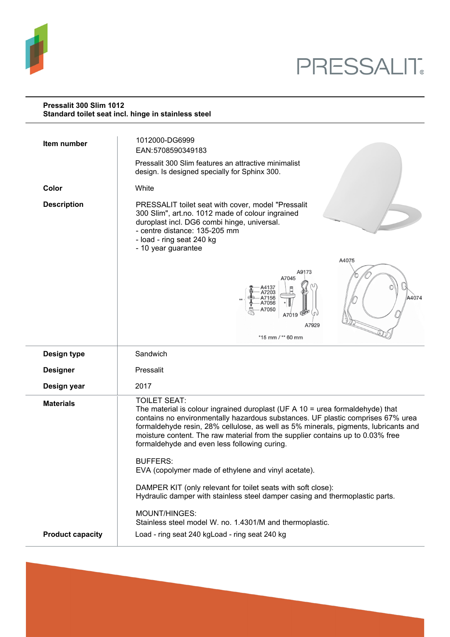

j.

# PRESSALIT.

#### **Pressalit 300 Slim 1012 Standard toilet seat incl. hinge in stainless steel**

| Item number             | 1012000-DG6999<br>EAN:5708590349183<br>Pressalit 300 Slim features an attractive minimalist                                                                                                                                                                                                                                                                                                                        |
|-------------------------|--------------------------------------------------------------------------------------------------------------------------------------------------------------------------------------------------------------------------------------------------------------------------------------------------------------------------------------------------------------------------------------------------------------------|
|                         | design. Is designed specially for Sphinx 300.                                                                                                                                                                                                                                                                                                                                                                      |
| Color                   | White                                                                                                                                                                                                                                                                                                                                                                                                              |
| <b>Description</b>      | PRESSALIT toilet seat with cover, model "Pressalit<br>300 Slim", art.no. 1012 made of colour ingrained<br>duroplast incl. DG6 combi hinge, universal.<br>- centre distance: 135-205 mm<br>- load - ring seat 240 kg<br>- 10 year guarantee                                                                                                                                                                         |
|                         | A4075<br>A9173<br>A7045<br>A4137<br>47203<br>A4074<br>A7056<br>A7050<br>A7019<br>A7929<br>*15 mm / ** 60 mm                                                                                                                                                                                                                                                                                                        |
| Design type             | Sandwich                                                                                                                                                                                                                                                                                                                                                                                                           |
| <b>Designer</b>         | Pressalit                                                                                                                                                                                                                                                                                                                                                                                                          |
| Design year             | 2017                                                                                                                                                                                                                                                                                                                                                                                                               |
| <b>Materials</b>        | <b>TOILET SEAT:</b><br>The material is colour ingrained duroplast (UF A $10 =$ urea formaldehyde) that<br>contains no environmentally hazardous substances. UF plastic comprises 67% urea<br>formaldehyde resin, 28% cellulose, as well as 5% minerals, pigments, lubricants and<br>moisture content. The raw material from the supplier contains up to 0.03% free<br>formaldehyde and even less following curing. |
|                         | <b>BUFFERS:</b><br>EVA (copolymer made of ethylene and vinyl acetate).                                                                                                                                                                                                                                                                                                                                             |
|                         | DAMPER KIT (only relevant for toilet seats with soft close):<br>Hydraulic damper with stainless steel damper casing and thermoplastic parts.                                                                                                                                                                                                                                                                       |
|                         | MOUNT/HINGES:<br>Stainless steel model W. no. 1.4301/M and thermoplastic.                                                                                                                                                                                                                                                                                                                                          |
| <b>Product capacity</b> | Load - ring seat 240 kgLoad - ring seat 240 kg                                                                                                                                                                                                                                                                                                                                                                     |